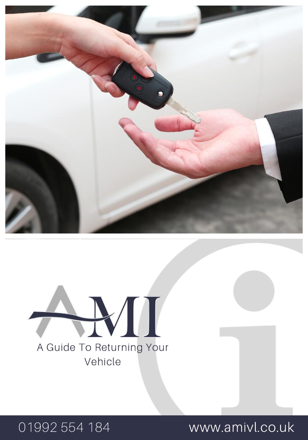

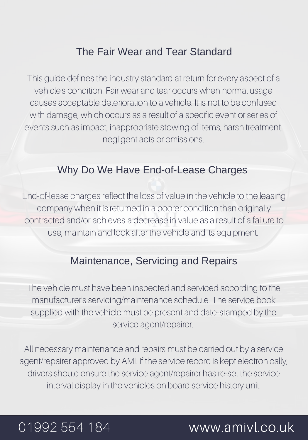# The Fair Wear and Tear Standard

This guide defines the industry standard at return for every aspect of a vehicle's condition. Fair wear and tear occurs when normal usage causes acceptable deterioration to a vehicle. It is not to be confused with damage, which occurs as a result of a specific event or series of events such as impact, inappropriate stowing of items, harsh treatment, negligent acts or omissions.

## Why Do We Have End-of-Lease Charges

End-of-lease charges reflect the loss of value in the vehicle to the leasing company when it is returned in a poorer condition than originally contracted and/or achieves a decrease in value as a result of a failure to use, maintain and look after the vehicle and its equipment.

# Maintenance, Servicing and Repairs

The vehicle must have been inspected and serviced according to the manufacturer's servicing/maintenance schedule. The service book supplied with the vehicle must be present and date-stamped by the service agent/repairer.

All necessary maintenance and repairs must be carried out by a service agent/repairer approved by AMI. If the service record is kept electronically, drivers should ensure the service agent/repairer has re-set the service interval display in the vehicles on board service history unit.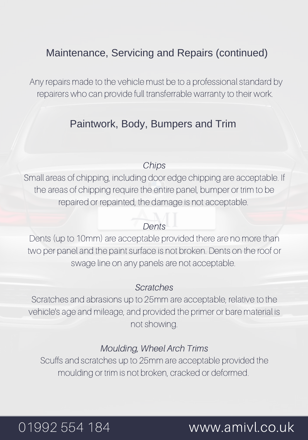# Maintenance, Servicing and Repairs (continued)

Any repairs made to the vehicle must be to a professional standard by repairers who can provide full transferrable warranty to their work.

# Paintwork, Body, Bumpers and Trim

#### Chips

Small areas of chipping, including door edge chipping are acceptable. If the areas of chipping require the entire panel, bumper or trim to be repaired or repainted, the damage is not acceptable.

### **Dents**

Dents (up to 10mm) are acceptable provided there are no more than two per panel and the paint surface is not broken. Dents on the roof or swage line on any panels are not acceptable.

### Scratches

Scratches and abrasions up to 25mm are acceptable, relative to the vehicle's age and mileage, and provided the primer or bare material is not showing.

### Moulding, Wheel Arch Trims

Scuffs and scratches up to 25mm are acceptable provided the moulding or trim is not broken, cracked or deformed.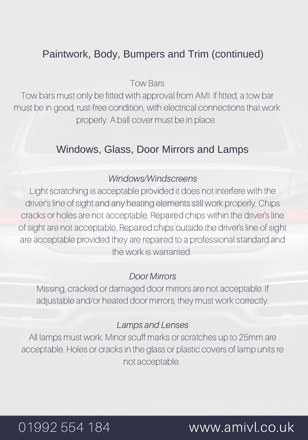# Paintwork, Body, Bumpers and Trim (continued)

Tow Bars

Tow bars must only be fitted with approval from AMI. If fitted, a tow bar must be in good, rust-free condition, with electrical connections that work properly. A ball cover must be in place.

## Windows, Glass, Door Mirrors and Lamps

#### Windows/Windscreens

Light scratching is acceptable provided it does not interfere with the driver's line of sight and any heating elements still work properly. Chips cracks or holes are not acceptable. Repaired chips within the driver's line of sight are not acceptable. Repaired chips outside the driver's line of sight are acceptable provided they are repaired to a professional standard and the work is warranted.

#### Door Mirrors

Missing, cracked or damaged door mirrors are not acceptable. If adjustable and/or heated door mirrors, they must work correctly.

### Lamps and Lenses

All lamps must work. Minor scuff marks or scratches up to 25mm are acceptable. Holes or cracks in the glass or plastic covers of lamp units re not acceptable.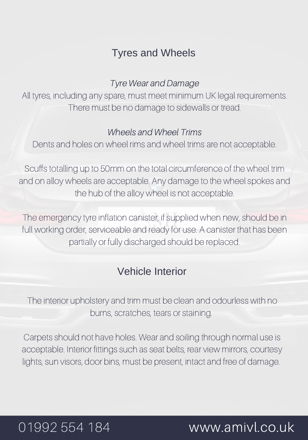# Tyres and Wheels

### Tyre Wear and Damage

All tyres, including any spare, must meet minimum UK legal requirements. There must be no damage to sidewalls or tread.

#### Wheels and Wheel Trims

Dents and holes on wheel rims and wheel trims are not acceptable.

Scuffs totalling up to 50mm on the total circumference of the wheel trim and on alloy wheels are acceptable. Any damage to the wheel spokes and the hub of the alloy wheel is not acceptable.

The emergency tyre inflation canister, if supplied when new, should be in full working order, serviceable and ready for use. A canister that has been partially or fully discharged should be replaced.

## Vehicle Interior

The interior upholstery and trim must be clean and odourless with no burns, scratches, tears or staining.

Carpets should not have holes. Wear and soiling through normal use is acceptable. Interior fittings such as seat belts, rear view mirrors, courtesy lights, sun visors, door bins, must be present, intact and free of damage.